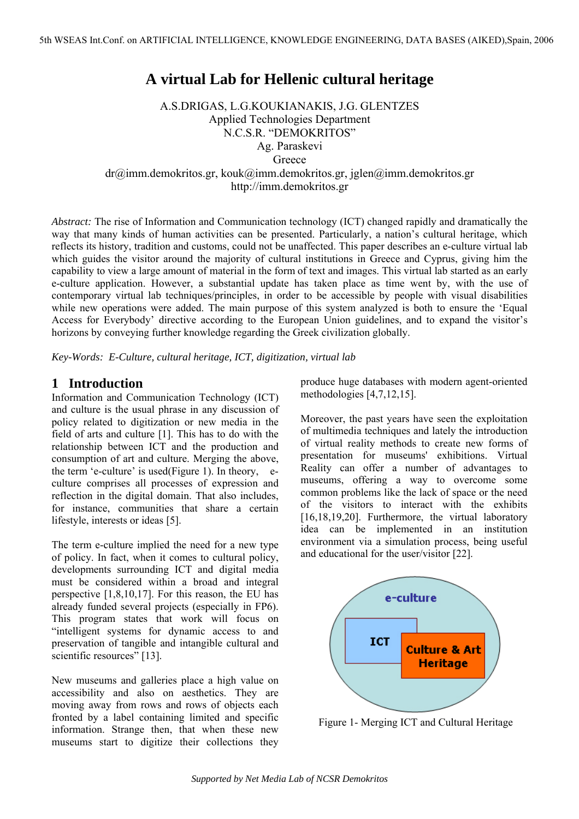# **A virtual Lab for Hellenic cultural heritage**

A.S.DRIGAS, L.G.KOUKIANAKIS, J.G. GLENTZES Applied Technologies Department N.C.S.R. "DEMOKRITOS" Ag. Paraskevi **Greece** dr@imm.demokritos.gr, kouk@imm.demokritos.gr, jglen@imm.demokritos.gr http://imm.demokritos.gr

*Abstract:* The rise of Information and Communication technology (ICT) changed rapidly and dramatically the way that many kinds of human activities can be presented. Particularly, a nation's cultural heritage, which reflects its history, tradition and customs, could not be unaffected. This paper describes an e-culture virtual lab which guides the visitor around the majority of cultural institutions in Greece and Cyprus, giving him the capability to view a large amount of material in the form of text and images. This virtual lab started as an early e-culture application. However, a substantial update has taken place as time went by, with the use of contemporary virtual lab techniques/principles, in order to be accessible by people with visual disabilities while new operations were added. The main purpose of this system analyzed is both to ensure the 'Equal Access for Everybody' directive according to the European Union guidelines, and to expand the visitor's horizons by conveying further knowledge regarding the Greek civilization globally.

*Key-Words: E-Culture, cultural heritage, ICT, digitization, virtual lab*

### **1 Introduction**

Information and Communication Technology (ICT) and culture is the usual phrase in any discussion of policy related to digitization or new media in the field of arts and culture [1]. This has to do with the relationship between ICT and the production and consumption of art and culture. Merging the above, the term 'e-culture' is used(Figure 1). In theory, eculture comprises all processes of expression and reflection in the digital domain. That also includes, for instance, communities that share a certain lifestyle, interests or ideas [5].

The term e-culture implied the need for a new type of policy. In fact, when it comes to cultural policy, developments surrounding ICT and digital media must be considered within a broad and integral perspective [1,8,10,17]. For this reason, the EU has already funded several projects (especially in FP6). This program states that work will focus on "intelligent systems for dynamic access to and preservation of tangible and intangible cultural and scientific resources" [13].

New museums and galleries place a high value on accessibility and also on aesthetics. They are moving away from rows and rows of objects each fronted by a label containing limited and specific information. Strange then, that when these new museums start to digitize their collections they

produce huge databases with modern agent-oriented methodologies [4,7,12,15].

Moreover, the past years have seen the exploitation of multimedia techniques and lately the introduction of virtual reality methods to create new forms of presentation for museums' exhibitions. Virtual Reality can offer a number of advantages to museums, offering a way to overcome some common problems like the lack of space or the need of the visitors to interact with the exhibits [16,18,19,20]. Furthermore, the virtual laboratory idea can be implemented in an institution environment via a simulation process, being useful and educational for the user/visitor [22].



Figure 1- Merging ICT and Cultural Heritage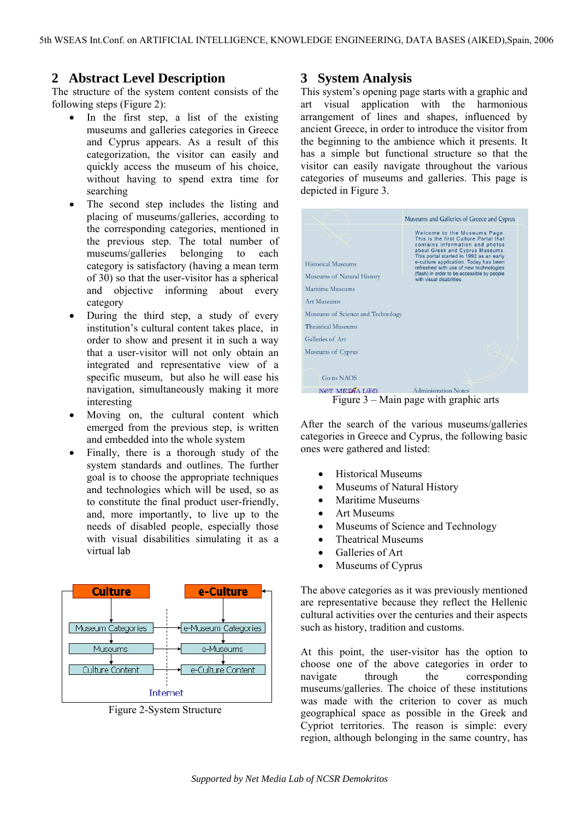## **2 Abstract Level Description**

The structure of the system content consists of the following steps (Figure 2):

- In the first step, a list of the existing museums and galleries categories in Greece and Cyprus appears. As a result of this categorization, the visitor can easily and quickly access the museum of his choice without having to spend extra time for searching
- The second step includes the listing and placing of museums/galleries, according to the corresponding categories, mentioned in the previous step. The total number of museums/galleries belonging to each category is satisfactory (having a mean term of 30) so that the user-visitor has a spherical and objective informing about every category
- During the third step, a study of every institution's cultural content takes place, in order to show and present it in such a way that a user-visitor will not only obtain an integrated and representative view of a specific museum, but also he will ease his navigation, simultaneously making it more interesting
- Moving on, the cultural content which emerged from the previous step, is written and embedded into the whole system
- Finally, there is a thorough study of the system standards and outlines. The further goal is to choose the appropriate techniques and technologies which will be used, so as to constitute the final product user-friendly, and, more importantly, to live up to the needs of disabled people, especially those with visual disabilities simulating it as a virtual lab



Figure 2-System Structure

#### **3 System Analysis**

This system's opening page starts with a graphic and art visual application with the harmonious arrangement of lines and shapes, influenced by ancient Greece, in order to introduce the visitor from the beginning to the ambience which it presents. It has a simple but functional structure so that the visitor can easily navigate throughout the various categories of museums and galleries. This page is depicted in Figure 3.

|                                                         | Museums and Galleries of Greece and Cyprus                                                                                                                                                                                                                                                                                                            |
|---------------------------------------------------------|-------------------------------------------------------------------------------------------------------------------------------------------------------------------------------------------------------------------------------------------------------------------------------------------------------------------------------------------------------|
| <b>Historical Museums</b><br>Museums of Natural History | Welcome to the Museums Page.<br>This is the first Culture Portal that<br>contains information and photos<br>about Greek and Cyprus Museums.<br>This portal started in 1992 as an early<br>e-culture application. Today has been<br>refreshed with use of new technologies<br>(flash) in order to be accessible by people<br>with visual disabilities. |
| Maritime Museums                                        |                                                                                                                                                                                                                                                                                                                                                       |
| Art Museums                                             |                                                                                                                                                                                                                                                                                                                                                       |
| Museums of Science and Technology                       |                                                                                                                                                                                                                                                                                                                                                       |
| <b>Theatrical Museums</b>                               |                                                                                                                                                                                                                                                                                                                                                       |
| Galleries of Art                                        |                                                                                                                                                                                                                                                                                                                                                       |
| Museums of Cyprus                                       |                                                                                                                                                                                                                                                                                                                                                       |
|                                                         |                                                                                                                                                                                                                                                                                                                                                       |
| <b>Go to NAOS</b>                                       |                                                                                                                                                                                                                                                                                                                                                       |
| NET MEDIA LOB<br><b>Administration Notes</b>            |                                                                                                                                                                                                                                                                                                                                                       |
| Figure $3$ – Main page with graphic arts                |                                                                                                                                                                                                                                                                                                                                                       |

After the search of the various museums/galleries categories in Greece and Cyprus, the following basic ones were gathered and listed:

- Historical Museums
- Museums of Natural History
- Maritime Museums
- Art Museums
- Museums of Science and Technology
- Theatrical Museums
- Galleries of Art
- Museums of Cyprus

The above categories as it was previously mentioned are representative because they reflect the Hellenic cultural activities over the centuries and their aspects such as history, tradition and customs.

At this point, the user-visitor has the option to choose one of the above categories in order to navigate through the corresponding museums/galleries. The choice of these institutions was made with the criterion to cover as much geographical space as possible in the Greek and Cypriot territories. The reason is simple: every region, although belonging in the same country, has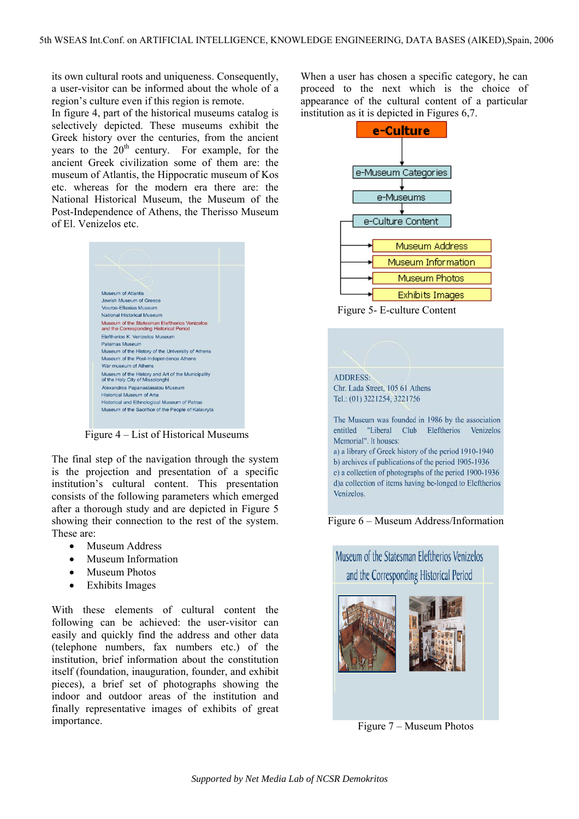its own cultural roots and uniqueness. Consequently, a user-visitor can be informed about the whole of a region's culture even if this region is remote.

In figure 4, part of the historical museums catalog is selectively depicted. These museums exhibit the Greek history over the centuries, from the ancient vears to the  $20<sup>th</sup>$  century. For example, for the ancient Greek civilization some of them are: the museum of Atlantis, the Hippocratic museum of Kos etc. whereas for the modern era there are: the National Historical Museum, the Museum of the Post-Independence of Athens, the Therisso Museum of El. Venizelos etc.



Figure 4 – List of Historical Museums

The final step of the navigation through the system is the projection and presentation of a specific institution's cultural content. This presentation consists of the following parameters which emerged after a thorough study and are depicted in Figure 5 showing their connection to the rest of the system. These are:

- Museum Address
- Museum Information
- Museum Photos
- Exhibits Images

With these elements of cultural content the following can be achieved: the user-visitor can easily and quickly find the address and other data (telephone numbers, fax numbers etc.) of the institution, brief information about the constitution itself (foundation, inauguration, founder, and exhibit pieces), a brief set of photographs showing the indoor and outdoor areas of the institution and finally representative images of exhibits of great importance.

When a user has chosen a specific category, he can proceed to the next which is the choice of appearance of the cultural content of a particular institution as it is depicted in Figures 6,7.



Figure 5- E-culture Content







Figure 7 – Museum Photos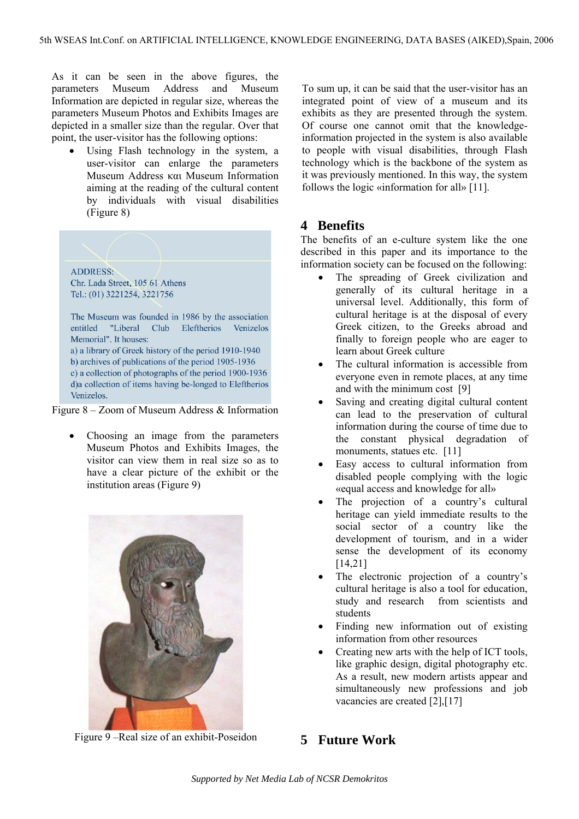As it can be seen in the above figures, the parameters Museum Address and Museum Information are depicted in regular size, whereas the parameters Museum Photos and Exhibits Images are depicted in a smaller size than the regular. Over that point, the user-visitor has the following options:

Using Flash technology in the system, a user-visitor can enlarge the parameters Museum Address και Museum Information aiming at the reading of the cultural content by individuals with visual disabilities (Figure 8)

**ADDRESS:** Chr. Lada Street, 105 61 Athens Tel.: (01) 3221254, 3221756

The Museum was founded in 1986 by the association entitled "Liberal Club Eleftherios Venizelos Memorial". It houses: a) a library of Greek history of the period 1910-1940 b) archives of publications of the period 1905-1936 c) a collection of photographs of the period 1900-1936 d)a collection of items having be-longed to Eleftherios Venizelos.

Figure 8 – Zoom of Museum Address & Information

• Choosing an image from the parameters Museum Photos and Exhibits Images, the visitor can view them in real size so as to have a clear picture of the exhibit or the institution areas (Figure 9)



Figure 9 –Real size of an exhibit-Poseidon

To sum up, it can be said that the user-visitor has an integrated point of view of a museum and its exhibits as they are presented through the system. Of course one cannot omit that the knowledgeinformation projected in the system is also available to people with visual disabilities, through Flash technology which is the backbone of the system as it was previously mentioned. In this way, the system follows the logic «information for all» [11].

## **4 Benefits**

The benefits of an e-culture system like the one described in this paper and its importance to the information society can be focused on the following:

- The spreading of Greek civilization and generally of its cultural heritage in a universal level. Additionally, this form of cultural heritage is at the disposal of every Greek citizen, to the Greeks abroad and finally to foreign people who are eager to learn about Greek culture
- The cultural information is accessible from everyone even in remote places, at any time and with the minimum cost [9]
- Saving and creating digital cultural content can lead to the preservation of cultural information during the course of time due to the constant physical degradation of monuments, statues etc. [11]
- Easy access to cultural information from disabled people complying with the logic «equal access and knowledge for all»
- The projection of a country's cultural heritage can yield immediate results to the social sector of a country like the development of tourism, and in a wider sense the development of its economy [14,21]
- The electronic projection of a country's cultural heritage is also a tool for education, study and research from scientists and students
- Finding new information out of existing information from other resources
- Creating new arts with the help of ICT tools, like graphic design, digital photography etc. As a result, new modern artists appear and simultaneously new professions and job vacancies are created [2],[17]

# **5 Future Work**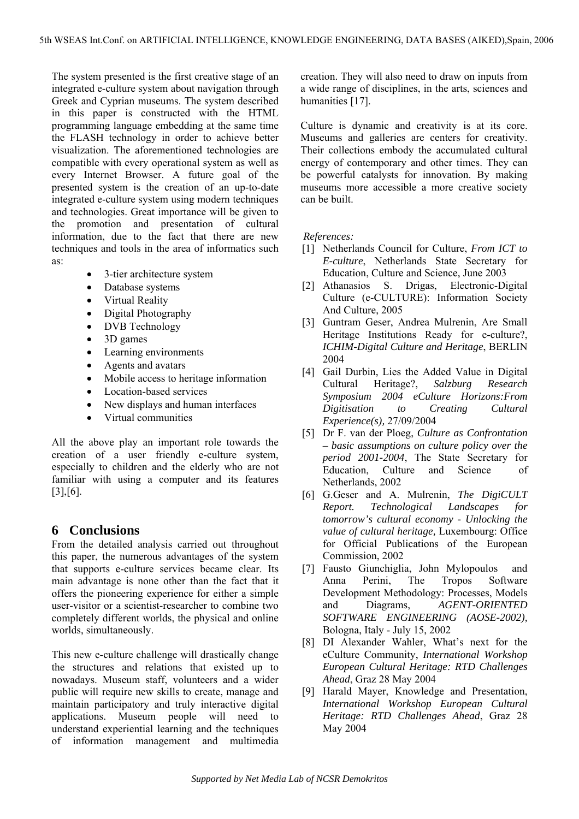The system presented is the first creative stage of an integrated e-culture system about navigation through Greek and Cyprian museums. The system described in this paper is constructed with the HTML programming language embedding at the same time the FLASH technology in order to achieve better visualization. The aforementioned technologies are compatible with every operational system as well as every Internet Browser. A future goal of the presented system is the creation of an up-to-date integrated e-culture system using modern techniques and technologies. Great importance will be given to the promotion and presentation of cultural information, due to the fact that there are new techniques and tools in the area of informatics such as:

- 3-tier architecture system
- Database systems
- Virtual Reality
- Digital Photography
- DVB Technology
- 3D games
- Learning environments
- Agents and avatars
- Mobile access to heritage information
- Location-based services
- New displays and human interfaces
- Virtual communities

All the above play an important role towards the creation of a user friendly e-culture system, especially to children and the elderly who are not familiar with using a computer and its features [3],[6].

### **6 Conclusions**

From the detailed analysis carried out throughout this paper, the numerous advantages of the system that supports e-culture services became clear. Its main advantage is none other than the fact that it offers the pioneering experience for either a simple user-visitor or a scientist-researcher to combine two completely different worlds, the physical and online worlds, simultaneously.

This new e-culture challenge will drastically change the structures and relations that existed up to nowadays. Museum staff, volunteers and a wider public will require new skills to create, manage and maintain participatory and truly interactive digital applications. Museum people will need to understand experiential learning and the techniques of information management and multimedia

creation. They will also need to draw on inputs from a wide range of disciplines, in the arts, sciences and humanities [17].

Culture is dynamic and creativity is at its core. Museums and galleries are centers for creativity. Their collections embody the accumulated cultural energy of contemporary and other times. They can be powerful catalysts for innovation. By making museums more accessible a more creative society can be built.

 *References:*

- [1] Netherlands Council for Culture, *From ICT to E-culture*, Netherlands State Secretary for Education, Culture and Science, June 2003
- [2] Athanasios S. Drigas, Electronic-Digital Culture (e-CULTURE): Information Society And Culture, 2005
- [3] Guntram Geser, Andrea Mulrenin, Are Small Heritage Institutions Ready for e-culture?, *ICHIM-Digital Culture and Heritage*, BERLIN 2004
- [4] Gail Durbin, Lies the Added Value in Digital Cultural Heritage?, *Salzburg Research Symposium 2004 eCulture Horizons:From Digitisation to Creating Cultural Experience(s),* 27/09/2004
- [5] Dr F. van der Ploeg, *Culture as Confrontation – basic assumptions on culture policy over the period 2001-2004*, The State Secretary for Education, Culture and Science of Netherlands, 2002
- [6] G.Geser and A. Mulrenin, *The DigiCULT Report. Technological Landscapes for tomorrow's cultural economy - Unlocking the value of cultural heritage,* Luxembourg: Office for Official Publications of the European Commission, 2002
- [7] Fausto Giunchiglia, John Mylopoulos and Anna Perini, The Tropos Software Development Methodology: Processes, Models and Diagrams, *AGENT-ORIENTED SOFTWARE ENGINEERING (AOSE-2002),* Bologna, Italy - July 15, 2002
- [8] DI Alexander Wahler, What's next for the eCulture Community, *International Workshop European Cultural Heritage: RTD Challenges Ahead*, Graz 28 May 2004
- [9] Harald Mayer, Knowledge and Presentation, *International Workshop European Cultural Heritage: RTD Challenges Ahead*, Graz 28 May 2004